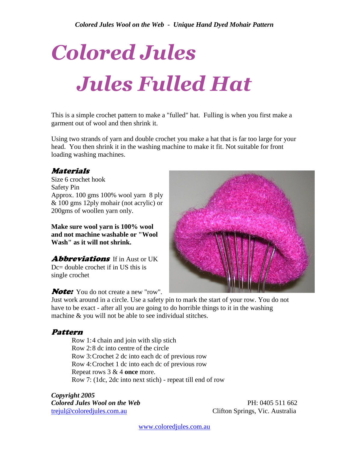# *Colored Jules Jules Fulled Hat*

This is a simple crochet pattern to make a "fulled" hat. Fulling is when you first make a garment out of wool and then shrink it.

Using two strands of yarn and double crochet you make a hat that is far too large for your head. You then shrink it in the washing machine to make it fit. Not suitable for front loading washing machines.

## Materials

Size 6 crochet hook Safety Pin Approx. 100 gms 100% wool yarn 8 ply & 100 gms 12ply mohair (not acrylic) or 200gms of woollen yarn only.

**Make sure wool yarn is 100% wool and not machine washable or "Wool Wash" as it will not shrink.** 

**Abbreviations** If in Aust or UK Dc= double crochet if in US this is single crochet



**Note:** You do not create a new "row".

Just work around in a circle. Use a safety pin to mark the start of your row. You do not have to be exact - after all you are going to do horrible things to it in the washing machine & you will not be able to see individual stitches.

## Pattern

 Row 1:4 chain and join with slip stich Row 2:8 dc into centre of the circle Row 3:Crochet 2 dc into each dc of previous row Row 4:Crochet 1 dc into each dc of previous row Repeat rows 3 & 4 **once** more. Row 7: (1dc, 2dc into next stich) - repeat till end of row

*Copyright 2005 Colored Jules Wool on the Web* PH: 0405 511 662 [trejul@coloredjules.com.au](mailto:trejul@coloredjules.com.au) Clifton Springs, Vic. Australia

[www.coloredjules.com.au](http://www.coloredjules.com.au/)